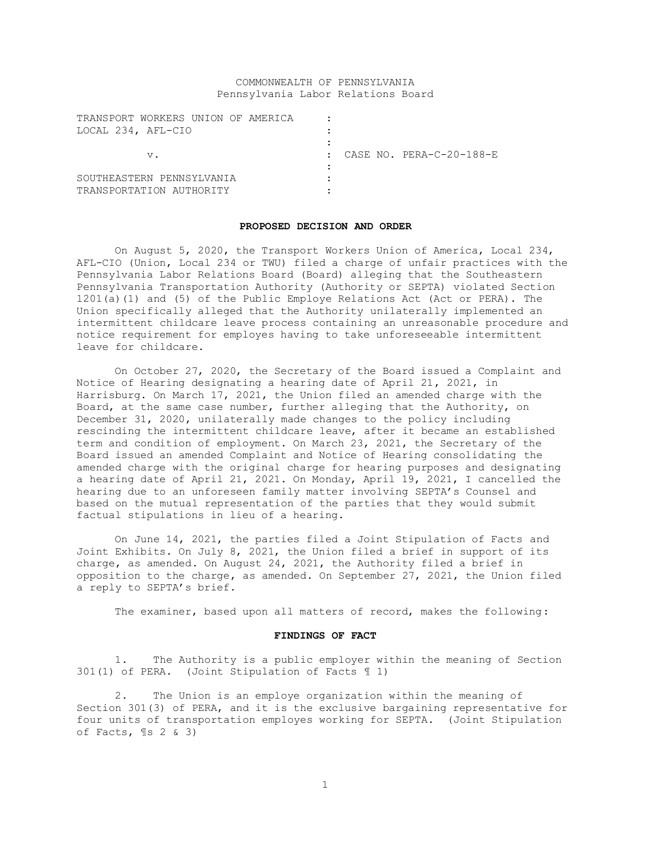# COMMONWEALTH OF PENNSYLVANIA Pennsylvania Labor Relations Board

| TRANSPORT WORKERS UNION OF AMERICA |                                       |
|------------------------------------|---------------------------------------|
| LOCAL 234, AFL-CIO                 |                                       |
|                                    |                                       |
| $V$ .                              | CASE NO. PERA-C-20-188-E<br>$\bullet$ |
|                                    |                                       |
| SOUTHEASTERN PENNSYLVANIA          |                                       |
| TRANSPORTATION AUTHORITY           |                                       |

#### **PROPOSED DECISION AND ORDER**

On August 5, 2020, the Transport Workers Union of America, Local 234, AFL-CIO (Union, Local 234 or TWU) filed a charge of unfair practices with the Pennsylvania Labor Relations Board (Board) alleging that the Southeastern Pennsylvania Transportation Authority (Authority or SEPTA) violated Section 1201(a)(1) and (5) of the Public Employe Relations Act (Act or PERA). The Union specifically alleged that the Authority unilaterally implemented an intermittent childcare leave process containing an unreasonable procedure and notice requirement for employes having to take unforeseeable intermittent leave for childcare.

On October 27, 2020, the Secretary of the Board issued a Complaint and Notice of Hearing designating a hearing date of April 21, 2021, in Harrisburg. On March 17, 2021, the Union filed an amended charge with the Board, at the same case number, further alleging that the Authority, on December 31, 2020, unilaterally made changes to the policy including rescinding the intermittent childcare leave, after it became an established term and condition of employment. On March 23, 2021, the Secretary of the Board issued an amended Complaint and Notice of Hearing consolidating the amended charge with the original charge for hearing purposes and designating a hearing date of April 21, 2021. On Monday, April 19, 2021, I cancelled the hearing due to an unforeseen family matter involving SEPTA's Counsel and based on the mutual representation of the parties that they would submit factual stipulations in lieu of a hearing.

On June 14, 2021, the parties filed a Joint Stipulation of Facts and Joint Exhibits. On July 8, 2021, the Union filed a brief in support of its charge, as amended. On August 24, 2021, the Authority filed a brief in opposition to the charge, as amended. On September 27, 2021, the Union filed a reply to SEPTA's brief.

The examiner, based upon all matters of record, makes the following:

#### **FINDINGS OF FACT**

1. The Authority is a public employer within the meaning of Section 301(1) of PERA. (Joint Stipulation of Facts ¶ 1)

2. The Union is an employe organization within the meaning of Section 301(3) of PERA, and it is the exclusive bargaining representative for four units of transportation employes working for SEPTA. (Joint Stipulation of Facts,  $\{ \$ 2 \& 3 \}$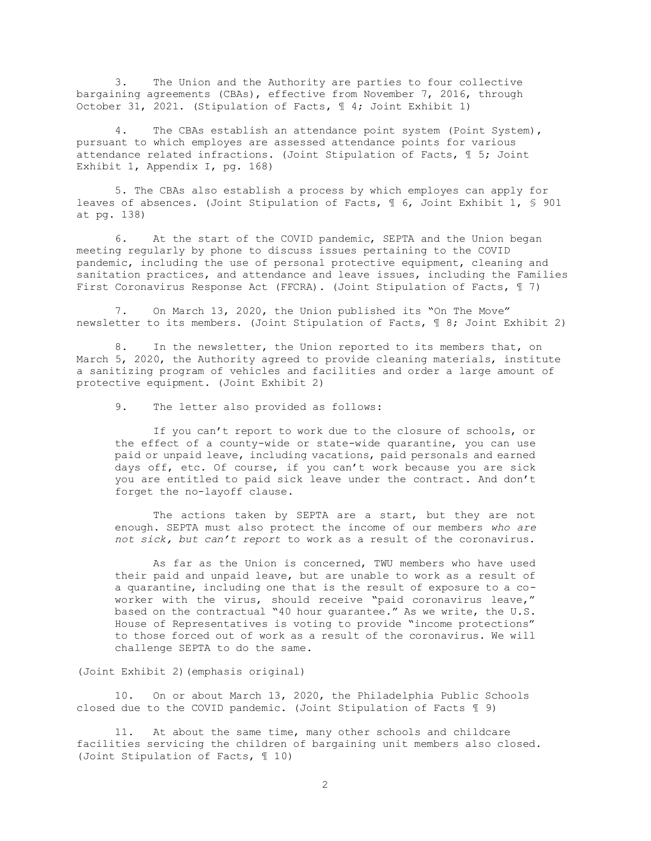3. The Union and the Authority are parties to four collective bargaining agreements (CBAs), effective from November 7, 2016, through October 31, 2021. (Stipulation of Facts, ¶ 4; Joint Exhibit 1)

4. The CBAs establish an attendance point system (Point System), pursuant to which employes are assessed attendance points for various attendance related infractions. (Joint Stipulation of Facts, ¶ 5; Joint Exhibit 1, Appendix I, pg. 168)

5. The CBAs also establish a process by which employes can apply for leaves of absences. (Joint Stipulation of Facts, ¶ 6, Joint Exhibit 1, § 901 at pg. 138)

6. At the start of the COVID pandemic, SEPTA and the Union began meeting regularly by phone to discuss issues pertaining to the COVID pandemic, including the use of personal protective equipment, cleaning and sanitation practices, and attendance and leave issues, including the Families First Coronavirus Response Act (FFCRA). (Joint Stipulation of Facts, ¶ 7)

7. On March 13, 2020, the Union published its "On The Move" newsletter to its members. (Joint Stipulation of Facts, ¶ 8; Joint Exhibit 2)

8. In the newsletter, the Union reported to its members that, on March 5, 2020, the Authority agreed to provide cleaning materials, institute a sanitizing program of vehicles and facilities and order a large amount of protective equipment. (Joint Exhibit 2)

9. The letter also provided as follows:

If you can't report to work due to the closure of schools, or the effect of a county-wide or state-wide quarantine, you can use paid or unpaid leave, including vacations, paid personals and earned days off, etc. Of course, if you can't work because you are sick you are entitled to paid sick leave under the contract. And don't forget the no-layoff clause.

The actions taken by SEPTA are a start, but they are not enough. SEPTA must also protect the income of our members *who are not sick, but can't report* to work as a result of the coronavirus.

As far as the Union is concerned, TWU members who have used their paid and unpaid leave, but are unable to work as a result of a quarantine, including one that is the result of exposure to a coworker with the virus, should receive "paid coronavirus leave," based on the contractual "40 hour guarantee." As we write, the U.S. House of Representatives is voting to provide "income protections" to those forced out of work as a result of the coronavirus. We will challenge SEPTA to do the same.

(Joint Exhibit 2)(emphasis original)

10. On or about March 13, 2020, the Philadelphia Public Schools closed due to the COVID pandemic. (Joint Stipulation of Facts ¶ 9)

11. At about the same time, many other schools and childcare facilities servicing the children of bargaining unit members also closed. (Joint Stipulation of Facts, ¶ 10)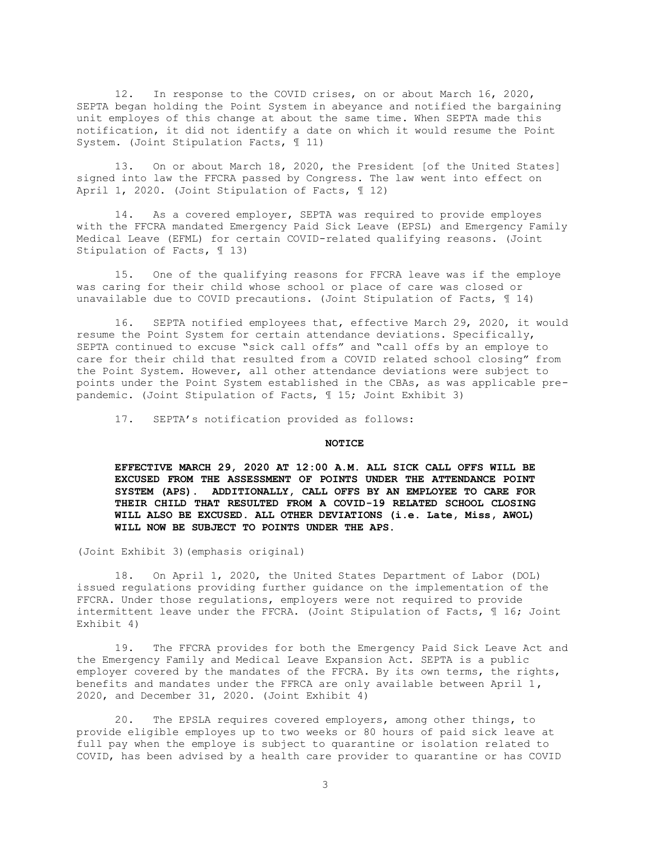12. In response to the COVID crises, on or about March 16, 2020, SEPTA began holding the Point System in abeyance and notified the bargaining unit employes of this change at about the same time. When SEPTA made this notification, it did not identify a date on which it would resume the Point System. (Joint Stipulation Facts, ¶ 11)

13. On or about March 18, 2020, the President [of the United States] signed into law the FFCRA passed by Congress. The law went into effect on April 1, 2020. (Joint Stipulation of Facts, 112)

14. As a covered employer, SEPTA was required to provide employes with the FFCRA mandated Emergency Paid Sick Leave (EPSL) and Emergency Family Medical Leave (EFML) for certain COVID-related qualifying reasons. (Joint Stipulation of Facts, ¶ 13)

15. One of the qualifying reasons for FFCRA leave was if the employe was caring for their child whose school or place of care was closed or unavailable due to COVID precautions. (Joint Stipulation of Facts, ¶ 14)

16. SEPTA notified employees that, effective March 29, 2020, it would resume the Point System for certain attendance deviations. Specifically, SEPTA continued to excuse "sick call offs" and "call offs by an employe to care for their child that resulted from a COVID related school closing" from the Point System. However, all other attendance deviations were subject to points under the Point System established in the CBAs, as was applicable prepandemic. (Joint Stipulation of Facts, ¶ 15; Joint Exhibit 3)

17. SEPTA's notification provided as follows:

#### **NOTICE**

**EFFECTIVE MARCH 29, 2020 AT 12:00 A.M. ALL SICK CALL OFFS WILL BE EXCUSED FROM THE ASSESSMENT OF POINTS UNDER THE ATTENDANCE POINT SYSTEM (APS). ADDITIONALLY, CALL OFFS BY AN EMPLOYEE TO CARE FOR THEIR CHILD THAT RESULTED FROM A COVID-19 RELATED SCHOOL CLOSING WILL ALSO BE EXCUSED. ALL OTHER DEVIATIONS (i.e. Late, Miss, AWOL) WILL NOW BE SUBJECT TO POINTS UNDER THE APS.**

(Joint Exhibit 3)(emphasis original)

18. On April 1, 2020, the United States Department of Labor (DOL) issued regulations providing further guidance on the implementation of the FFCRA. Under those regulations, employers were not required to provide intermittent leave under the FFCRA. (Joint Stipulation of Facts, ¶ 16; Joint Exhibit 4)

19. The FFCRA provides for both the Emergency Paid Sick Leave Act and the Emergency Family and Medical Leave Expansion Act. SEPTA is a public employer covered by the mandates of the FFCRA. By its own terms, the rights, benefits and mandates under the FFRCA are only available between April  $1$ , 2020, and December 31, 2020. (Joint Exhibit 4)

20. The EPSLA requires covered employers, among other things, to provide eligible employes up to two weeks or 80 hours of paid sick leave at full pay when the employe is subject to quarantine or isolation related to COVID, has been advised by a health care provider to quarantine or has COVID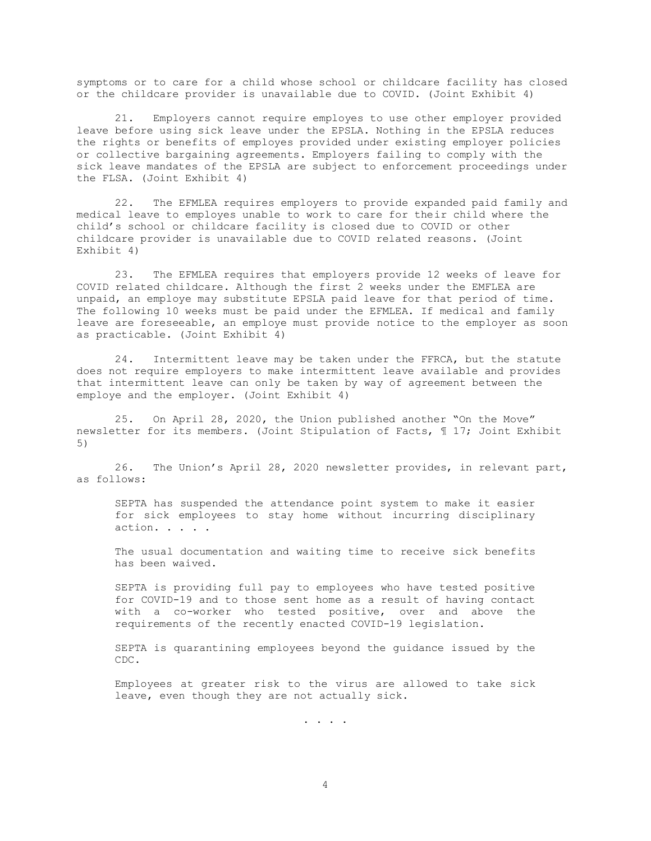symptoms or to care for a child whose school or childcare facility has closed or the childcare provider is unavailable due to COVID. (Joint Exhibit 4)

21. Employers cannot require employes to use other employer provided leave before using sick leave under the EPSLA. Nothing in the EPSLA reduces the rights or benefits of employes provided under existing employer policies or collective bargaining agreements. Employers failing to comply with the sick leave mandates of the EPSLA are subject to enforcement proceedings under the FLSA. (Joint Exhibit 4)

22. The EFMLEA requires employers to provide expanded paid family and medical leave to employes unable to work to care for their child where the child's school or childcare facility is closed due to COVID or other childcare provider is unavailable due to COVID related reasons. (Joint Exhibit 4)

23. The EFMLEA requires that employers provide 12 weeks of leave for COVID related childcare. Although the first 2 weeks under the EMFLEA are unpaid, an employe may substitute EPSLA paid leave for that period of time. The following 10 weeks must be paid under the EFMLEA. If medical and family leave are foreseeable, an employe must provide notice to the employer as soon as practicable. (Joint Exhibit 4)

24. Intermittent leave may be taken under the FFRCA, but the statute does not require employers to make intermittent leave available and provides that intermittent leave can only be taken by way of agreement between the employe and the employer. (Joint Exhibit 4)

25. On April 28, 2020, the Union published another "On the Move" newsletter for its members. (Joint Stipulation of Facts, ¶ 17; Joint Exhibit 5)

26. The Union's April 28, 2020 newsletter provides, in relevant part, as follows:

SEPTA has suspended the attendance point system to make it easier for sick employees to stay home without incurring disciplinary action. . . . .

The usual documentation and waiting time to receive sick benefits has been waived.

SEPTA is providing full pay to employees who have tested positive for COVID-19 and to those sent home as a result of having contact with a co-worker who tested positive, over and above the requirements of the recently enacted COVID-19 legislation.

SEPTA is quarantining employees beyond the guidance issued by the CDC.

Employees at greater risk to the virus are allowed to take sick leave, even though they are not actually sick.

. . . .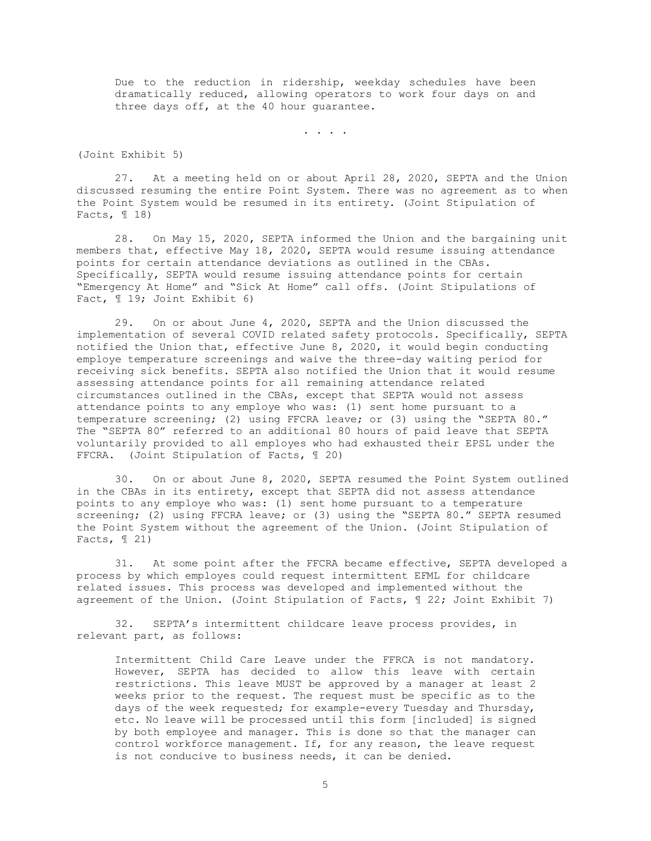Due to the reduction in ridership, weekday schedules have been dramatically reduced, allowing operators to work four days on and three days off, at the 40 hour guarantee.

. . . .

(Joint Exhibit 5)

27. At a meeting held on or about April 28, 2020, SEPTA and the Union discussed resuming the entire Point System. There was no agreement as to when the Point System would be resumed in its entirety. (Joint Stipulation of Facts,  $\mathbb{I}$  18)

28. On May 15, 2020, SEPTA informed the Union and the bargaining unit members that, effective May 18, 2020, SEPTA would resume issuing attendance points for certain attendance deviations as outlined in the CBAs. Specifically, SEPTA would resume issuing attendance points for certain "Emergency At Home" and "Sick At Home" call offs. (Joint Stipulations of Fact, ¶ 19; Joint Exhibit 6)

29. On or about June 4, 2020, SEPTA and the Union discussed the implementation of several COVID related safety protocols. Specifically, SEPTA notified the Union that, effective June 8, 2020, it would begin conducting employe temperature screenings and waive the three-day waiting period for receiving sick benefits. SEPTA also notified the Union that it would resume assessing attendance points for all remaining attendance related circumstances outlined in the CBAs, except that SEPTA would not assess attendance points to any employe who was: (1) sent home pursuant to a temperature screening; (2) using FFCRA leave; or (3) using the "SEPTA 80." The "SEPTA 80" referred to an additional 80 hours of paid leave that SEPTA voluntarily provided to all employes who had exhausted their EPSL under the FFCRA. (Joint Stipulation of Facts, ¶ 20)

30. On or about June 8, 2020, SEPTA resumed the Point System outlined in the CBAs in its entirety, except that SEPTA did not assess attendance points to any employe who was: (1) sent home pursuant to a temperature screening; (2) using FFCRA leave; or (3) using the "SEPTA 80." SEPTA resumed the Point System without the agreement of the Union. (Joint Stipulation of Facts,  $\mathbb{I}$  21)

31. At some point after the FFCRA became effective, SEPTA developed a process by which employes could request intermittent EFML for childcare related issues. This process was developed and implemented without the agreement of the Union. (Joint Stipulation of Facts, ¶ 22; Joint Exhibit 7)

32. SEPTA's intermittent childcare leave process provides, in relevant part, as follows:

Intermittent Child Care Leave under the FFRCA is not mandatory. However, SEPTA has decided to allow this leave with certain restrictions. This leave MUST be approved by a manager at least 2 weeks prior to the request. The request must be specific as to the days of the week requested; for example-every Tuesday and Thursday, etc. No leave will be processed until this form [included] is signed by both employee and manager. This is done so that the manager can control workforce management. If, for any reason, the leave request is not conducive to business needs, it can be denied.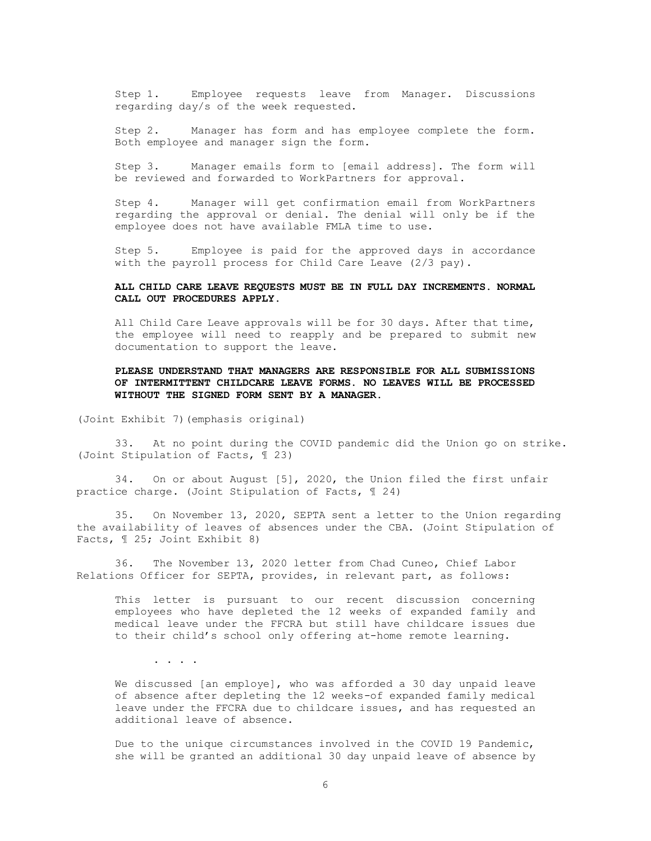Step 1. Employee requests leave from Manager. Discussions regarding day/s of the week requested.

Step 2. Manager has form and has employee complete the form. Both employee and manager sign the form.

Step 3. Manager emails form to [email address]. The form will be reviewed and forwarded to WorkPartners for approval.

Step 4. Manager will get confirmation email from WorkPartners regarding the approval or denial. The denial will only be if the employee does not have available FMLA time to use.

Step 5. Employee is paid for the approved days in accordance with the payroll process for Child Care Leave (2/3 pay).

# **ALL CHILD CARE LEAVE REQUESTS MUST BE IN FULL DAY INCREMENTS. NORMAL CALL OUT PROCEDURES APPLY**.

All Child Care Leave approvals will be for 30 days. After that time, the employee will need to reapply and be prepared to submit new documentation to support the leave.

# **PLEASE UNDERSTAND THAT MANAGERS ARE RESPONSIBLE FOR ALL SUBMISSIONS OF INTERMITTENT CHILDCARE LEAVE FORMS. NO LEAVES WILL BE PROCESSED WITHOUT THE SIGNED FORM SENT BY A MANAGER.**

(Joint Exhibit 7)(emphasis original)

33. At no point during the COVID pandemic did the Union go on strike. (Joint Stipulation of Facts, ¶ 23)

34. On or about August [5], 2020, the Union filed the first unfair practice charge. (Joint Stipulation of Facts, ¶ 24)

35. On November 13, 2020, SEPTA sent a letter to the Union regarding the availability of leaves of absences under the CBA. (Joint Stipulation of Facts, ¶ 25; Joint Exhibit 8)

36. The November 13, 2020 letter from Chad Cuneo, Chief Labor Relations Officer for SEPTA, provides, in relevant part, as follows:

This letter is pursuant to our recent discussion concerning employees who have depleted the 12 weeks of expanded family and medical leave under the FFCRA but still have childcare issues due to their child's school only offering at-home remote learning.

. . . .

We discussed [an employe], who was afforded a 30 day unpaid leave of absence after depleting the 12 weeks-of expanded family medical leave under the FFCRA due to childcare issues, and has requested an additional leave of absence.

Due to the unique circumstances involved in the COVID 19 Pandemic, she will be granted an additional 30 day unpaid leave of absence by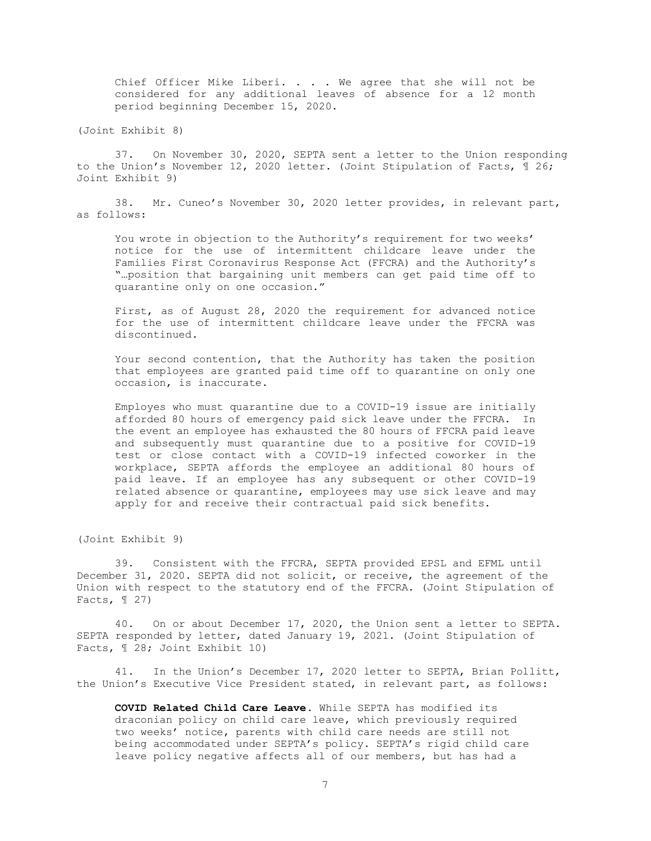Chief Officer Mike Liberi. . . . We agree that she will not be considered for any additional leaves of absence for a 12 month period beginning December 15, 2020.

(Joint Exhibit 8)

37. On November 30, 2020, SEPTA sent a letter to the Union responding to the Union's November 12, 2020 letter. (Joint Stipulation of Facts, ¶ 26; Joint Exhibit 9)

38. Mr. Cuneo's November 30, 2020 letter provides, in relevant part, as follows:

You wrote in objection to the Authority's requirement for two weeks' notice for the use of intermittent childcare leave under the Families First Coronavirus Response Act (FFCRA) and the Authority's "…position that bargaining unit members can get paid time off to quarantine only on one occasion."

First, as of August 28, 2020 the requirement for advanced notice for the use of intermittent childcare leave under the FFCRA was discontinued.

Your second contention, that the Authority has taken the position that employees are granted paid time off to quarantine on only one occasion, is inaccurate.

Employes who must quarantine due to a COVID-19 issue are initially afforded 80 hours of emergency paid sick leave under the FFCRA. In the event an employee has exhausted the 80 hours of FFCRA paid leave and subsequently must quarantine due to a positive for COVID-19 test or close contact with a COVID-19 infected coworker in the workplace, SEPTA affords the employee an additional 80 hours of paid leave. If an employee has any subsequent or other COVID-19 related absence or quarantine, employees may use sick leave and may apply for and receive their contractual paid sick benefits.

(Joint Exhibit 9)

39. Consistent with the FFCRA, SEPTA provided EPSL and EFML until December 31, 2020. SEPTA did not solicit, or receive, the agreement of the Union with respect to the statutory end of the FFCRA. (Joint Stipulation of Facts,  $\mathbb{I}$  27)

40. On or about December 17, 2020, the Union sent a letter to SEPTA. SEPTA responded by letter, dated January 19, 2021. (Joint Stipulation of Facts, ¶ 28; Joint Exhibit 10)

41. In the Union's December 17, 2020 letter to SEPTA, Brian Pollitt, the Union's Executive Vice President stated, in relevant part, as follows:

**COVID Related Child Care Leave**. While SEPTA has modified its draconian policy on child care leave, which previously required two weeks' notice, parents with child care needs are still not being accommodated under SEPTA's policy. SEPTA's rigid child care leave policy negative affects all of our members, but has had a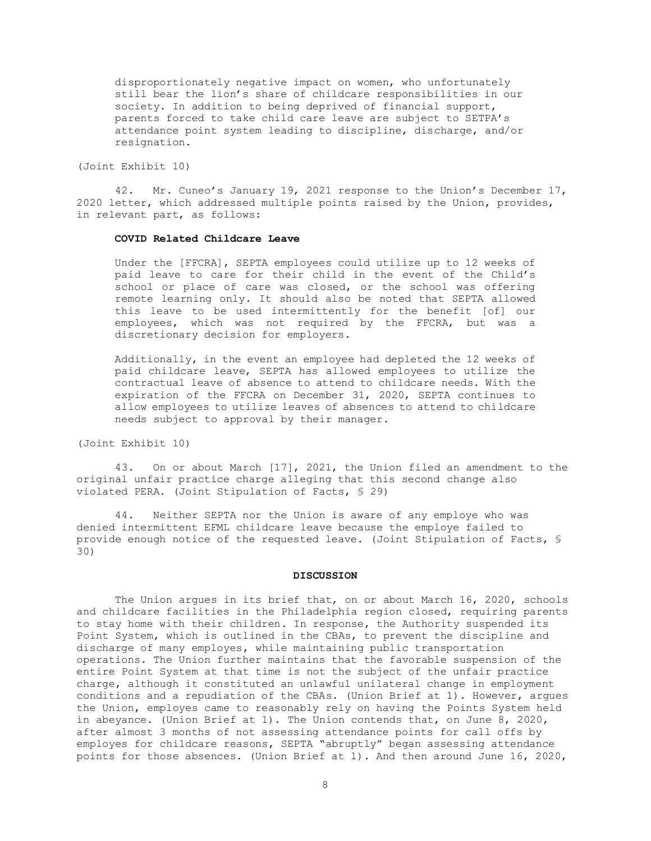disproportionately negative impact on women, who unfortunately still bear the lion's share of childcare responsibilities in our society. In addition to being deprived of financial support, parents forced to take child care leave are subject to SETPA's attendance point system leading to discipline, discharge, and/or resignation.

(Joint Exhibit 10)

42. Mr. Cuneo's January 19, 2021 response to the Union's December 17, 2020 letter, which addressed multiple points raised by the Union, provides, in relevant part, as follows:

## **COVID Related Childcare Leave**

Under the [FFCRA], SEPTA employees could utilize up to 12 weeks of paid leave to care for their child in the event of the Child's school or place of care was closed, or the school was offering remote learning only. It should also be noted that SEPTA allowed this leave to be used intermittently for the benefit [of] our employees, which was not required by the FFCRA, but was a discretionary decision for employers.

Additionally, in the event an employee had depleted the 12 weeks of paid childcare leave, SEPTA has allowed employees to utilize the contractual leave of absence to attend to childcare needs. With the expiration of the FFCRA on December 31, 2020, SEPTA continues to allow employees to utilize leaves of absences to attend to childcare needs subject to approval by their manager.

(Joint Exhibit 10)

43. On or about March [17], 2021, the Union filed an amendment to the original unfair practice charge alleging that this second change also violated PERA. (Joint Stipulation of Facts, § 29)

44. Neither SEPTA nor the Union is aware of any employe who was denied intermittent EFML childcare leave because the employe failed to provide enough notice of the requested leave. (Joint Stipulation of Facts, § 30)

#### **DISCUSSION**

The Union argues in its brief that, on or about March 16, 2020, schools and childcare facilities in the Philadelphia region closed, requiring parents to stay home with their children. In response, the Authority suspended its Point System, which is outlined in the CBAs, to prevent the discipline and discharge of many employes, while maintaining public transportation operations. The Union further maintains that the favorable suspension of the entire Point System at that time is not the subject of the unfair practice charge, although it constituted an unlawful unilateral change in employment conditions and a repudiation of the CBAs. (Union Brief at 1). However, argues the Union, employes came to reasonably rely on having the Points System held in abeyance. (Union Brief at 1). The Union contends that, on June 8, 2020, after almost 3 months of not assessing attendance points for call offs by employes for childcare reasons, SEPTA "abruptly" began assessing attendance points for those absences. (Union Brief at 1). And then around June 16, 2020,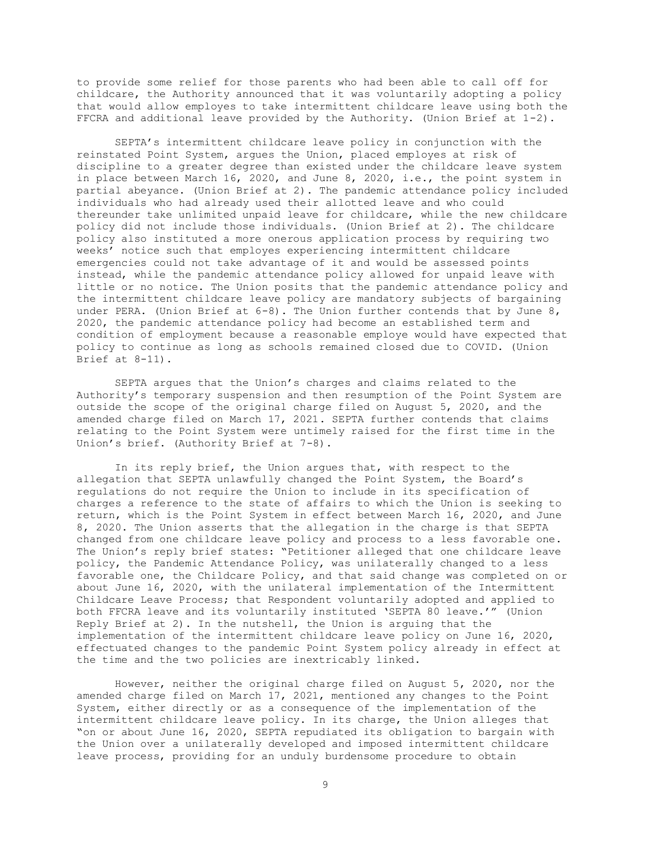to provide some relief for those parents who had been able to call off for childcare, the Authority announced that it was voluntarily adopting a policy that would allow employes to take intermittent childcare leave using both the FFCRA and additional leave provided by the Authority. (Union Brief at 1-2).

SEPTA's intermittent childcare leave policy in conjunction with the reinstated Point System, argues the Union, placed employes at risk of discipline to a greater degree than existed under the childcare leave system in place between March 16, 2020, and June 8, 2020, i.e., the point system in partial abeyance. (Union Brief at 2). The pandemic attendance policy included individuals who had already used their allotted leave and who could thereunder take unlimited unpaid leave for childcare, while the new childcare policy did not include those individuals. (Union Brief at 2). The childcare policy also instituted a more onerous application process by requiring two weeks' notice such that employes experiencing intermittent childcare emergencies could not take advantage of it and would be assessed points instead, while the pandemic attendance policy allowed for unpaid leave with little or no notice. The Union posits that the pandemic attendance policy and the intermittent childcare leave policy are mandatory subjects of bargaining under PERA. (Union Brief at  $6-8$ ). The Union further contends that by June  $8$ , 2020, the pandemic attendance policy had become an established term and condition of employment because a reasonable employe would have expected that policy to continue as long as schools remained closed due to COVID. (Union Brief at 8-11).

SEPTA argues that the Union's charges and claims related to the Authority's temporary suspension and then resumption of the Point System are outside the scope of the original charge filed on August 5, 2020, and the amended charge filed on March 17, 2021. SEPTA further contends that claims relating to the Point System were untimely raised for the first time in the Union's brief. (Authority Brief at 7-8).

In its reply brief, the Union argues that, with respect to the allegation that SEPTA unlawfully changed the Point System, the Board's regulations do not require the Union to include in its specification of charges a reference to the state of affairs to which the Union is seeking to return, which is the Point System in effect between March 16, 2020, and June 8, 2020. The Union asserts that the allegation in the charge is that SEPTA changed from one childcare leave policy and process to a less favorable one. The Union's reply brief states: "Petitioner alleged that one childcare leave policy, the Pandemic Attendance Policy, was unilaterally changed to a less favorable one, the Childcare Policy, and that said change was completed on or about June 16, 2020, with the unilateral implementation of the Intermittent Childcare Leave Process; that Respondent voluntarily adopted and applied to both FFCRA leave and its voluntarily instituted 'SEPTA 80 leave.'" (Union Reply Brief at 2). In the nutshell, the Union is arguing that the implementation of the intermittent childcare leave policy on June 16, 2020, effectuated changes to the pandemic Point System policy already in effect at the time and the two policies are inextricably linked.

However, neither the original charge filed on August 5, 2020, nor the amended charge filed on March 17, 2021, mentioned any changes to the Point System, either directly or as a consequence of the implementation of the intermittent childcare leave policy. In its charge, the Union alleges that "on or about June 16, 2020, SEPTA repudiated its obligation to bargain with the Union over a unilaterally developed and imposed intermittent childcare leave process, providing for an unduly burdensome procedure to obtain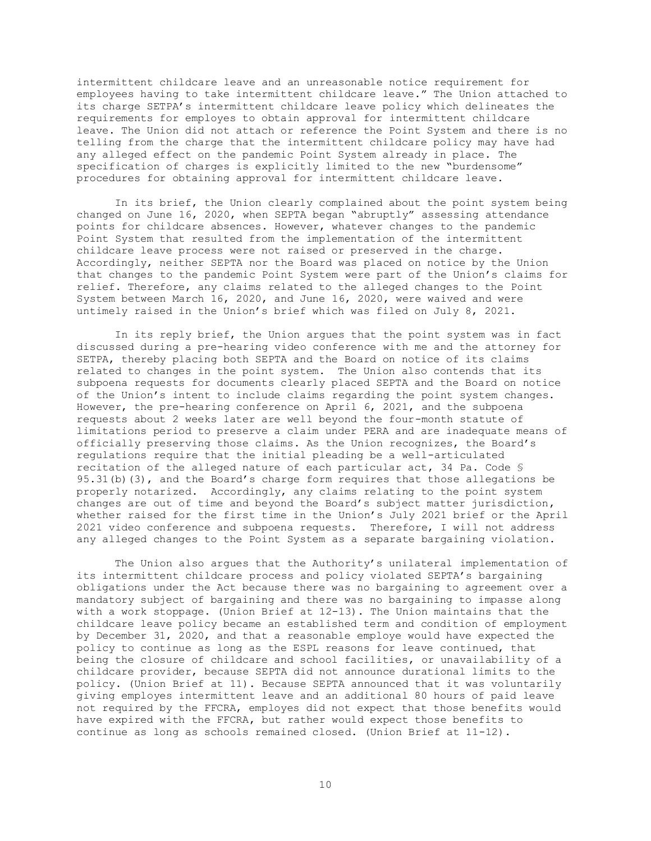intermittent childcare leave and an unreasonable notice requirement for employees having to take intermittent childcare leave." The Union attached to its charge SETPA's intermittent childcare leave policy which delineates the requirements for employes to obtain approval for intermittent childcare leave. The Union did not attach or reference the Point System and there is no telling from the charge that the intermittent childcare policy may have had any alleged effect on the pandemic Point System already in place. The specification of charges is explicitly limited to the new "burdensome" procedures for obtaining approval for intermittent childcare leave.

In its brief, the Union clearly complained about the point system being changed on June 16, 2020, when SEPTA began "abruptly" assessing attendance points for childcare absences. However, whatever changes to the pandemic Point System that resulted from the implementation of the intermittent childcare leave process were not raised or preserved in the charge. Accordingly, neither SEPTA nor the Board was placed on notice by the Union that changes to the pandemic Point System were part of the Union's claims for relief. Therefore, any claims related to the alleged changes to the Point System between March 16, 2020, and June 16, 2020, were waived and were untimely raised in the Union's brief which was filed on July 8, 2021.

In its reply brief, the Union argues that the point system was in fact discussed during a pre-hearing video conference with me and the attorney for SETPA, thereby placing both SEPTA and the Board on notice of its claims related to changes in the point system. The Union also contends that its subpoena requests for documents clearly placed SEPTA and the Board on notice of the Union's intent to include claims regarding the point system changes. However, the pre-hearing conference on April 6, 2021, and the subpoena requests about 2 weeks later are well beyond the four-month statute of limitations period to preserve a claim under PERA and are inadequate means of officially preserving those claims. As the Union recognizes, the Board's regulations require that the initial pleading be a well-articulated recitation of the alleged nature of each particular act, 34 Pa. Code § 95.31(b)(3), and the Board's charge form requires that those allegations be properly notarized. Accordingly, any claims relating to the point system changes are out of time and beyond the Board's subject matter jurisdiction, whether raised for the first time in the Union's July 2021 brief or the April 2021 video conference and subpoena requests. Therefore, I will not address any alleged changes to the Point System as a separate bargaining violation.

The Union also argues that the Authority's unilateral implementation of its intermittent childcare process and policy violated SEPTA's bargaining obligations under the Act because there was no bargaining to agreement over a mandatory subject of bargaining and there was no bargaining to impasse along with a work stoppage. (Union Brief at 12-13). The Union maintains that the childcare leave policy became an established term and condition of employment by December 31, 2020, and that a reasonable employe would have expected the policy to continue as long as the ESPL reasons for leave continued, that being the closure of childcare and school facilities, or unavailability of a childcare provider, because SEPTA did not announce durational limits to the policy. (Union Brief at 11). Because SEPTA announced that it was voluntarily giving employes intermittent leave and an additional 80 hours of paid leave not required by the FFCRA, employes did not expect that those benefits would have expired with the FFCRA, but rather would expect those benefits to continue as long as schools remained closed. (Union Brief at 11-12).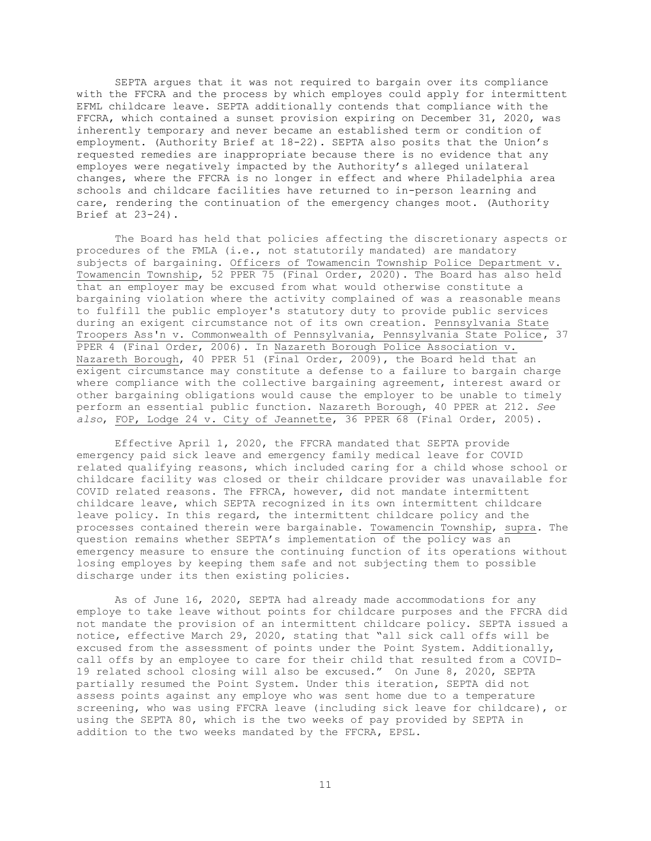SEPTA argues that it was not required to bargain over its compliance with the FFCRA and the process by which employes could apply for intermittent EFML childcare leave. SEPTA additionally contends that compliance with the FFCRA, which contained a sunset provision expiring on December 31, 2020, was inherently temporary and never became an established term or condition of employment. (Authority Brief at 18-22). SEPTA also posits that the Union's requested remedies are inappropriate because there is no evidence that any employes were negatively impacted by the Authority's alleged unilateral changes, where the FFCRA is no longer in effect and where Philadelphia area schools and childcare facilities have returned to in-person learning and care, rendering the continuation of the emergency changes moot. (Authority Brief at 23-24).

The Board has held that policies affecting the discretionary aspects or procedures of the FMLA (i.e., not statutorily mandated) are mandatory subjects of bargaining. Officers of Towamencin Township Police Department v. Towamencin Township, 52 PPER 75 (Final Order, 2020). The Board has also held that an employer may be excused from what would otherwise constitute a bargaining violation where the activity complained of was a reasonable means to fulfill the public employer's statutory duty to provide public services during an exigent circumstance not of its own creation. Pennsylvania State Troopers Ass'n v. Commonwealth of Pennsylvania, Pennsylvania State Police, 37 PPER 4 (Final Order, 2006). In Nazareth Borough Police Association v. Nazareth Borough, 40 PPER 51 (Final Order, 2009), the Board held that an exigent circumstance may constitute a defense to a failure to bargain charge where compliance with the collective bargaining agreement, interest award or other bargaining obligations would cause the employer to be unable to timely perform an essential public function. Nazareth Borough, 40 PPER at 212. *See also*, FOP, Lodge 24 v. City of Jeannette, 36 PPER 68 (Final Order, 2005).

Effective April 1, 2020, the FFCRA mandated that SEPTA provide emergency paid sick leave and emergency family medical leave for COVID related qualifying reasons, which included caring for a child whose school or childcare facility was closed or their childcare provider was unavailable for COVID related reasons. The FFRCA, however, did not mandate intermittent childcare leave, which SEPTA recognized in its own intermittent childcare leave policy. In this regard, the intermittent childcare policy and the processes contained therein were bargainable. Towamencin Township, supra. The question remains whether SEPTA's implementation of the policy was an emergency measure to ensure the continuing function of its operations without losing employes by keeping them safe and not subjecting them to possible discharge under its then existing policies.

As of June 16, 2020, SEPTA had already made accommodations for any employe to take leave without points for childcare purposes and the FFCRA did not mandate the provision of an intermittent childcare policy. SEPTA issued a notice, effective March 29, 2020, stating that "all sick call offs will be excused from the assessment of points under the Point System. Additionally, call offs by an employee to care for their child that resulted from a COVID-19 related school closing will also be excused." On June 8, 2020, SEPTA partially resumed the Point System. Under this iteration, SEPTA did not assess points against any employe who was sent home due to a temperature screening, who was using FFCRA leave (including sick leave for childcare), or using the SEPTA 80, which is the two weeks of pay provided by SEPTA in addition to the two weeks mandated by the FFCRA, EPSL.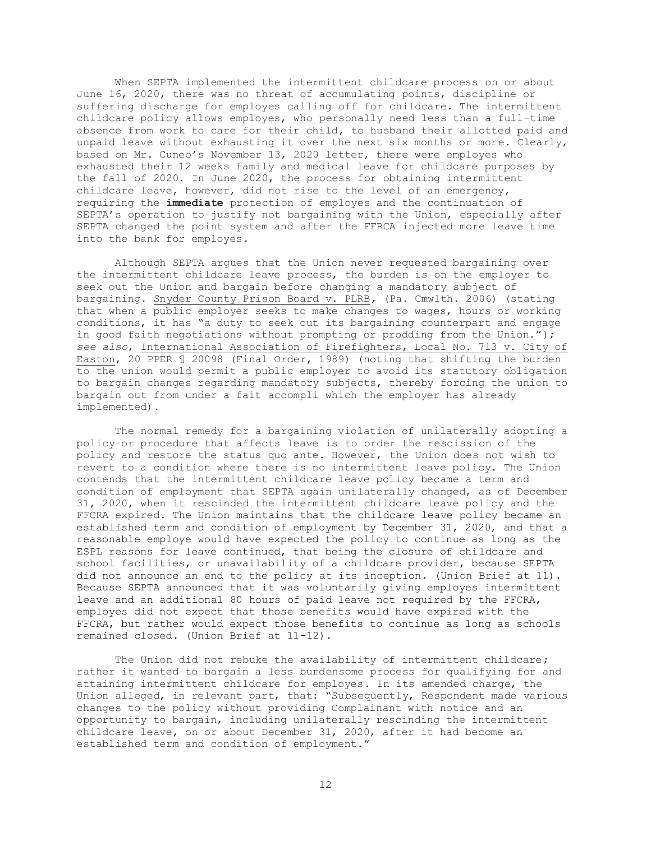When SEPTA implemented the intermittent childcare process on or about June 16, 2020, there was no threat of accumulating points, discipline or suffering discharge for employes calling off for childcare. The intermittent childcare policy allows employes, who personally need less than a full-time absence from work to care for their child, to husband their allotted paid and unpaid leave without exhausting it over the next six months or more. Clearly, based on Mr. Cuneo's November 13, 2020 letter, there were employes who exhausted their 12 weeks family and medical leave for childcare purposes by the fall of 2020. In June 2020, the process for obtaining intermittent childcare leave, however, did not rise to the level of an emergency, requiring the **immediate** protection of employes and the continuation of SEPTA's operation to justify not bargaining with the Union, especially after SEPTA changed the point system and after the FFRCA injected more leave time into the bank for employes.

Although SEPTA argues that the Union never requested bargaining over the intermittent childcare leave process, the burden is on the employer to seek out the Union and bargain before changing a mandatory subject of bargaining. Snyder County Prison Board v. PLRB*,* (Pa. Cmwlth. 2006) (stating that when a public employer seeks to make changes to wages, hours or working conditions, it has "a duty to seek out its bargaining counterpart and engage in good faith negotiations without prompting or prodding from the Union."); *see also*, International Association of Firefighters, Local No. 713 v. City of Easton, 20 PPER ¶ 20098 (Final Order, 1989) (noting that shifting the burden to the union would permit a public employer to avoid its statutory obligation to bargain changes regarding mandatory subjects, thereby forcing the union to bargain out from under a fait accompli which the employer has already implemented).

The normal remedy for a bargaining violation of unilaterally adopting a policy or procedure that affects leave is to order the rescission of the policy and restore the status quo ante. However, the Union does not wish to revert to a condition where there is no intermittent leave policy. The Union contends that the intermittent childcare leave policy became a term and condition of employment that SEPTA again unilaterally changed, as of December 31, 2020, when it rescinded the intermittent childcare leave policy and the FFCRA expired. The Union maintains that the childcare leave policy became an established term and condition of employment by December 31, 2020, and that a reasonable employe would have expected the policy to continue as long as the ESPL reasons for leave continued, that being the closure of childcare and school facilities, or unavailability of a childcare provider, because SEPTA did not announce an end to the policy at its inception. (Union Brief at 11). Because SEPTA announced that it was voluntarily giving employes intermittent leave and an additional 80 hours of paid leave not required by the FFCRA, employes did not expect that those benefits would have expired with the FFCRA, but rather would expect those benefits to continue as long as schools remained closed. (Union Brief at 11-12).

The Union did not rebuke the availability of intermittent childcare; rather it wanted to bargain a less burdensome process for qualifying for and attaining intermittent childcare for employes. In its amended charge, the Union alleged, in relevant part, that: "Subsequently, Respondent made various changes to the policy without providing Complainant with notice and an opportunity to bargain, including unilaterally rescinding the intermittent childcare leave, on or about December 31, 2020, after it had become an established term and condition of employment."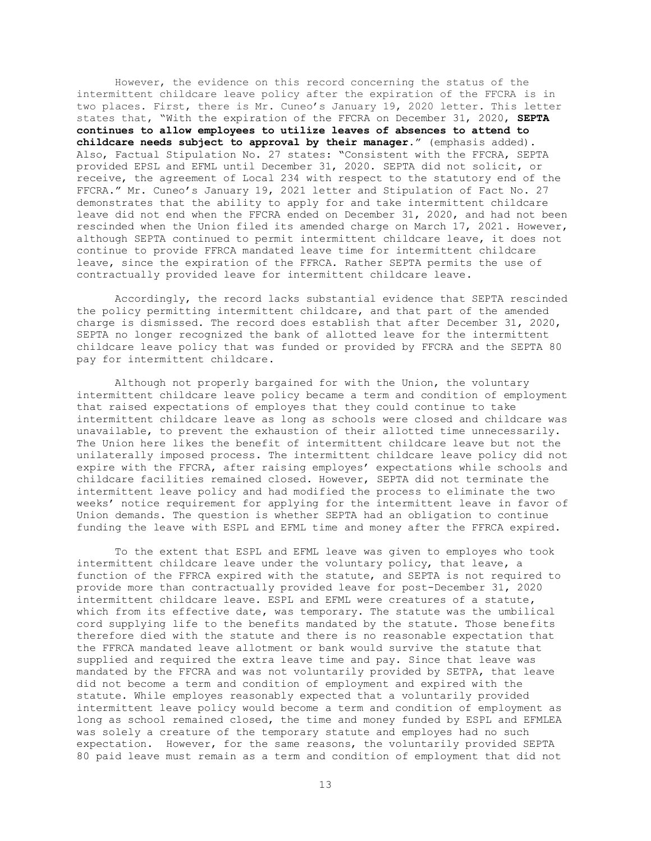However, the evidence on this record concerning the status of the intermittent childcare leave policy after the expiration of the FFCRA is in two places. First, there is Mr. Cuneo's January 19, 2020 letter. This letter states that, "With the expiration of the FFCRA on December 31, 2020, **SEPTA continues to allow employees to utilize leaves of absences to attend to childcare needs subject to approval by their manager**." (emphasis added). Also, Factual Stipulation No. 27 states: "Consistent with the FFCRA, SEPTA provided EPSL and EFML until December 31, 2020. SEPTA did not solicit, or receive, the agreement of Local 234 with respect to the statutory end of the FFCRA." Mr. Cuneo's January 19, 2021 letter and Stipulation of Fact No. 27 demonstrates that the ability to apply for and take intermittent childcare leave did not end when the FFCRA ended on December 31, 2020, and had not been rescinded when the Union filed its amended charge on March 17, 2021. However, although SEPTA continued to permit intermittent childcare leave, it does not continue to provide FFRCA mandated leave time for intermittent childcare leave, since the expiration of the FFRCA. Rather SEPTA permits the use of contractually provided leave for intermittent childcare leave.

Accordingly, the record lacks substantial evidence that SEPTA rescinded the policy permitting intermittent childcare, and that part of the amended charge is dismissed. The record does establish that after December 31, 2020, SEPTA no longer recognized the bank of allotted leave for the intermittent childcare leave policy that was funded or provided by FFCRA and the SEPTA 80 pay for intermittent childcare.

Although not properly bargained for with the Union, the voluntary intermittent childcare leave policy became a term and condition of employment that raised expectations of employes that they could continue to take intermittent childcare leave as long as schools were closed and childcare was unavailable, to prevent the exhaustion of their allotted time unnecessarily. The Union here likes the benefit of intermittent childcare leave but not the unilaterally imposed process. The intermittent childcare leave policy did not expire with the FFCRA, after raising employes' expectations while schools and childcare facilities remained closed. However, SEPTA did not terminate the intermittent leave policy and had modified the process to eliminate the two weeks' notice requirement for applying for the intermittent leave in favor of Union demands. The question is whether SEPTA had an obligation to continue funding the leave with ESPL and EFML time and money after the FFRCA expired.

To the extent that ESPL and EFML leave was given to employes who took intermittent childcare leave under the voluntary policy, that leave, a function of the FFRCA expired with the statute, and SEPTA is not required to provide more than contractually provided leave for post-December 31, 2020 intermittent childcare leave. ESPL and EFML were creatures of a statute, which from its effective date, was temporary. The statute was the umbilical cord supplying life to the benefits mandated by the statute. Those benefits therefore died with the statute and there is no reasonable expectation that the FFRCA mandated leave allotment or bank would survive the statute that supplied and required the extra leave time and pay. Since that leave was mandated by the FFCRA and was not voluntarily provided by SETPA, that leave did not become a term and condition of employment and expired with the statute. While employes reasonably expected that a voluntarily provided intermittent leave policy would become a term and condition of employment as long as school remained closed, the time and money funded by ESPL and EFMLEA was solely a creature of the temporary statute and employes had no such expectation. However, for the same reasons, the voluntarily provided SEPTA 80 paid leave must remain as a term and condition of employment that did not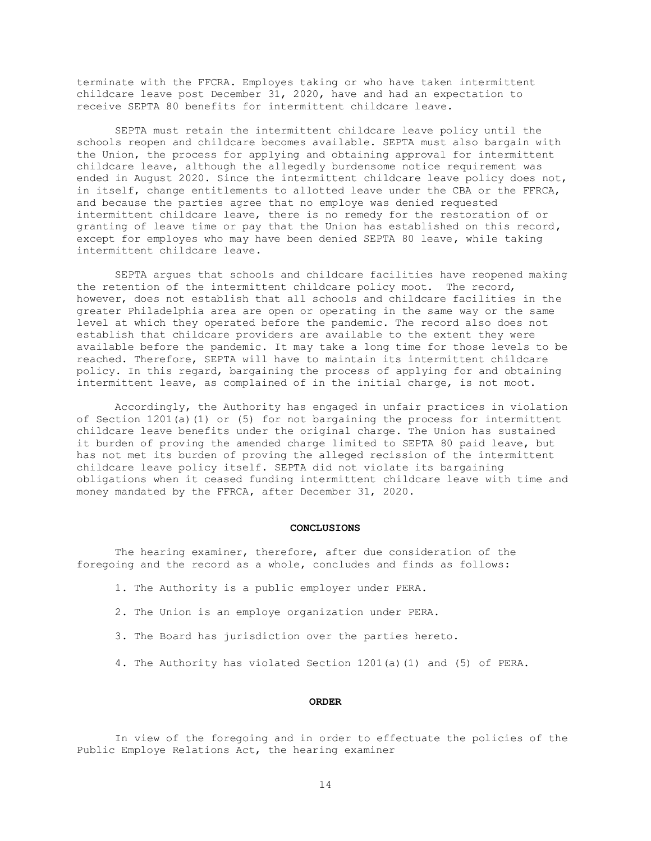terminate with the FFCRA. Employes taking or who have taken intermittent childcare leave post December 31, 2020, have and had an expectation to receive SEPTA 80 benefits for intermittent childcare leave.

SEPTA must retain the intermittent childcare leave policy until the schools reopen and childcare becomes available. SEPTA must also bargain with the Union, the process for applying and obtaining approval for intermittent childcare leave, although the allegedly burdensome notice requirement was ended in August 2020. Since the intermittent childcare leave policy does not, in itself, change entitlements to allotted leave under the CBA or the FFRCA, and because the parties agree that no employe was denied requested intermittent childcare leave, there is no remedy for the restoration of or granting of leave time or pay that the Union has established on this record, except for employes who may have been denied SEPTA 80 leave, while taking intermittent childcare leave.

SEPTA argues that schools and childcare facilities have reopened making the retention of the intermittent childcare policy moot. The record, however, does not establish that all schools and childcare facilities in the greater Philadelphia area are open or operating in the same way or the same level at which they operated before the pandemic. The record also does not establish that childcare providers are available to the extent they were available before the pandemic. It may take a long time for those levels to be reached. Therefore, SEPTA will have to maintain its intermittent childcare policy. In this regard, bargaining the process of applying for and obtaining intermittent leave, as complained of in the initial charge, is not moot.

Accordingly, the Authority has engaged in unfair practices in violation of Section 1201(a)(1) or (5) for not bargaining the process for intermittent childcare leave benefits under the original charge. The Union has sustained it burden of proving the amended charge limited to SEPTA 80 paid leave, but has not met its burden of proving the alleged recission of the intermittent childcare leave policy itself. SEPTA did not violate its bargaining obligations when it ceased funding intermittent childcare leave with time and money mandated by the FFRCA, after December 31, 2020.

#### **CONCLUSIONS**

The hearing examiner, therefore, after due consideration of the foregoing and the record as a whole, concludes and finds as follows:

- 1. The Authority is a public employer under PERA.
- 2. The Union is an employe organization under PERA.
- 3. The Board has jurisdiction over the parties hereto.
- 4. The Authority has violated Section 1201(a)(1) and (5) of PERA.

## **ORDER**

In view of the foregoing and in order to effectuate the policies of the Public Employe Relations Act, the hearing examiner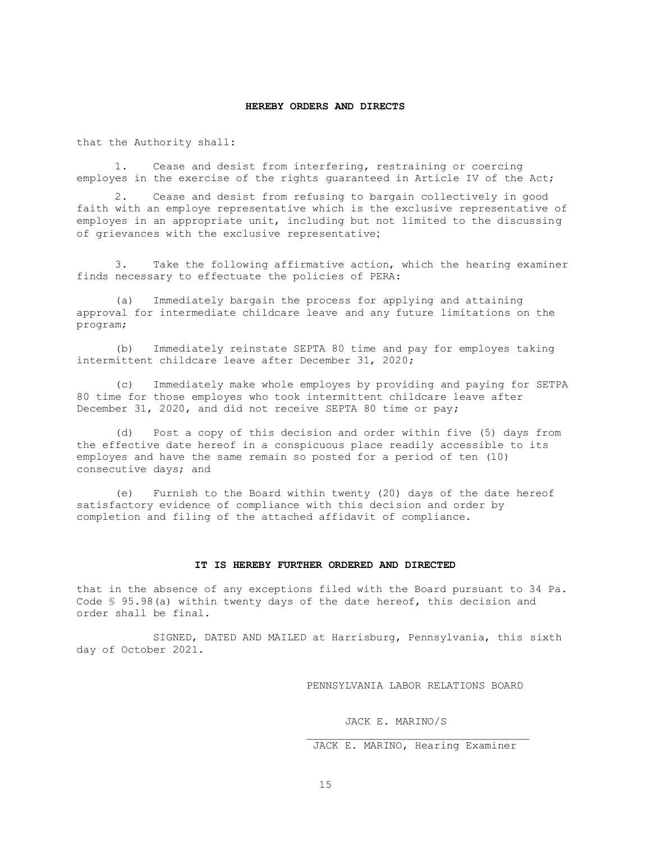## **HEREBY ORDERS AND DIRECTS**

that the Authority shall:

1. Cease and desist from interfering, restraining or coercing employes in the exercise of the rights guaranteed in Article IV of the Act;

2. Cease and desist from refusing to bargain collectively in good faith with an employe representative which is the exclusive representative of employes in an appropriate unit, including but not limited to the discussing of grievances with the exclusive representative;

3. Take the following affirmative action, which the hearing examiner finds necessary to effectuate the policies of PERA:

(a) Immediately bargain the process for applying and attaining approval for intermediate childcare leave and any future limitations on the program;

(b) Immediately reinstate SEPTA 80 time and pay for employes taking intermittent childcare leave after December 31, 2020;

(c) Immediately make whole employes by providing and paying for SETPA 80 time for those employes who took intermittent childcare leave after December 31, 2020, and did not receive SEPTA 80 time or pay;

(d) Post a copy of this decision and order within five (5) days from the effective date hereof in a conspicuous place readily accessible to its employes and have the same remain so posted for a period of ten (10) consecutive days; and

(e) Furnish to the Board within twenty (20) days of the date hereof satisfactory evidence of compliance with this decision and order by completion and filing of the attached affidavit of compliance.

#### **IT IS HEREBY FURTHER ORDERED AND DIRECTED**

that in the absence of any exceptions filed with the Board pursuant to 34 Pa. Code § 95.98(a) within twenty days of the date hereof, this decision and order shall be final.

SIGNED, DATED AND MAILED at Harrisburg, Pennsylvania, this sixth day of October 2021.

PENNSYLVANIA LABOR RELATIONS BOARD

JACK E. MARINO/S

## JACK E. MARINO, Hearing Examiner